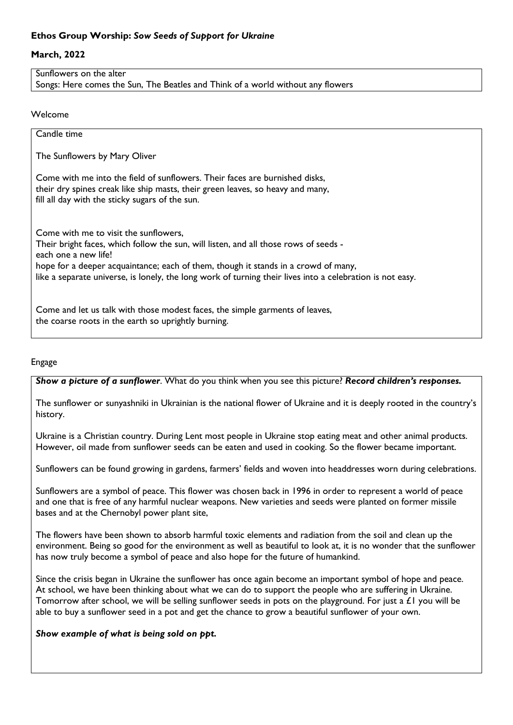# **Ethos Group Worship:** *Sow Seeds of Support for Ukraine*

## **March, 2022**

Sunflowers on the alter Songs: Here comes the Sun, The Beatles and Think of a world without any flowers

#### Welcome

| Candle time                                                                                                                                                                                                                                                                                                                                              |
|----------------------------------------------------------------------------------------------------------------------------------------------------------------------------------------------------------------------------------------------------------------------------------------------------------------------------------------------------------|
| The Sunflowers by Mary Oliver                                                                                                                                                                                                                                                                                                                            |
| Come with me into the field of sunflowers. Their faces are burnished disks,<br>their dry spines creak like ship masts, their green leaves, so heavy and many,<br>fill all day with the sticky sugars of the sun.                                                                                                                                         |
| Come with me to visit the sunflowers.<br>Their bright faces, which follow the sun, will listen, and all those rows of seeds -<br>each one a new life!<br>hope for a deeper acquaintance; each of them, though it stands in a crowd of many,<br>like a separate universe, is lonely, the long work of turning their lives into a celebration is not easy. |
| Come and let us talk with those modest faces, the simple garments of leaves,<br>the coarse roots in the earth so uprightly burning.                                                                                                                                                                                                                      |

#### Engage

*Show a picture of a sunflower*. What do you think when you see this picture? *Record children's responses.*

The sunflower or sunyashniki in Ukrainian is the national flower of Ukraine and it is deeply rooted in the country's history.

Ukraine is a Christian country. During Lent most people in Ukraine stop eating meat and other animal products. However, oil made from sunflower seeds can be eaten and used in cooking. So the flower became important.

Sunflowers can be found growing in gardens, farmers' fields and woven into headdresses worn during celebrations.

Sunflowers are a symbol of peace. This flower was chosen back in 1996 in order to represent a world of peace and one that is free of any harmful nuclear weapons. New varieties and seeds were planted on former missile bases and at the Chernobyl power plant site,

The flowers have been shown to absorb harmful toxic elements and radiation from the soil and clean up the environment. Being so good for the environment as well as beautiful to look at, it is no wonder that the sunflower has now truly become a symbol of peace and also hope for the future of humankind.

Since the crisis began in Ukraine the sunflower has once again become an important symbol of hope and peace. At school, we have been thinking about what we can do to support the people who are suffering in Ukraine. Tomorrow after school, we will be selling sunflower seeds in pots on the playground. For just a £1 you will be able to buy a sunflower seed in a pot and get the chance to grow a beautiful sunflower of your own.

#### *Show example of what is being sold on ppt.*